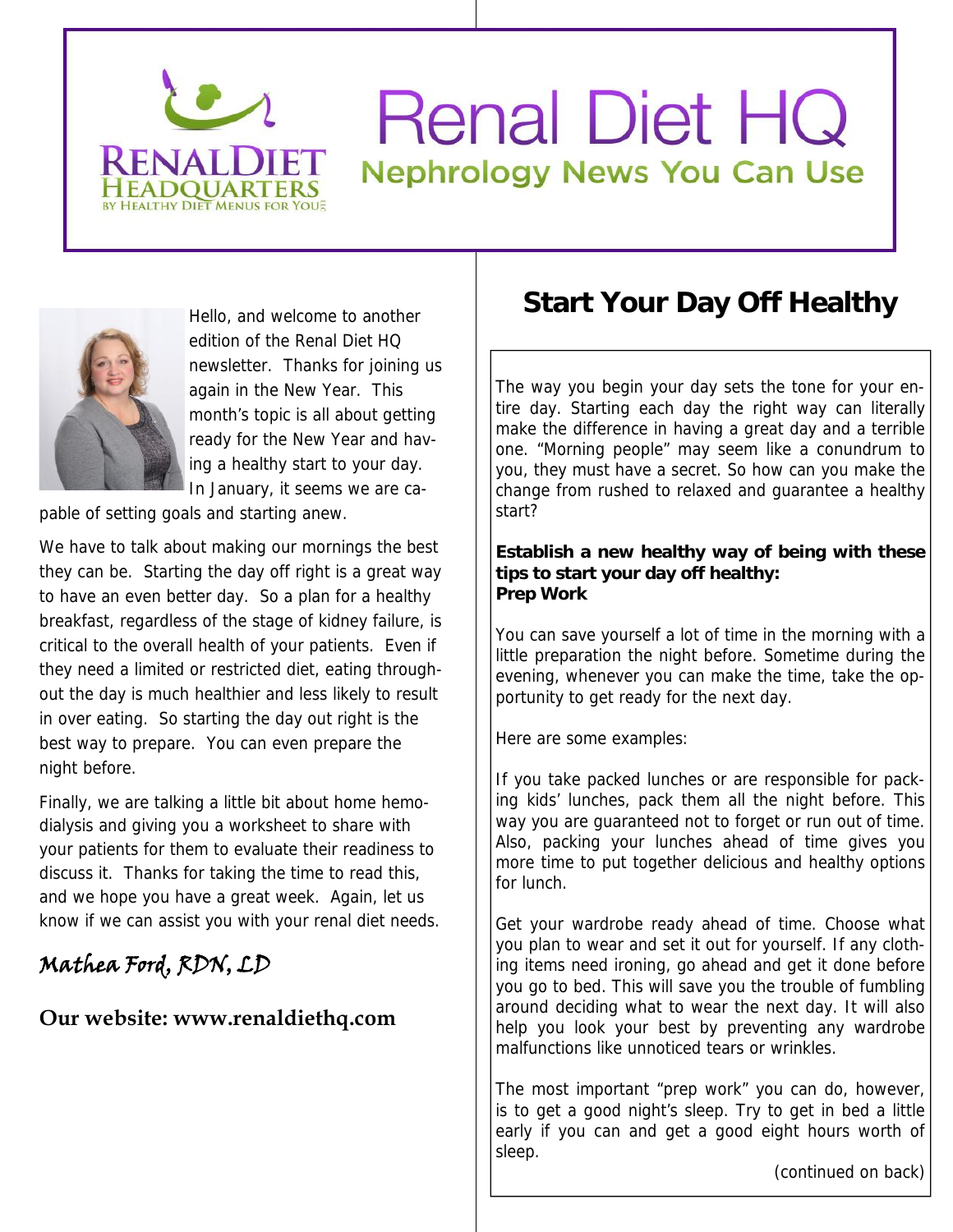# **Renal Diet HQ Nephrology News You Can Use**



edition of the Renal Diet HQ newsletter. Thanks for joining us again in the New Year. This month's topic is all about getting ready for the New Year and having a healthy start to your day. In January, it seems we are ca-

pable of setting goals and starting anew.

BY HEALTHY DIET MENUS FOR YOU

We have to talk about making our mornings the best they can be. Starting the day off right is a great way to have an even better day. So a plan for a healthy breakfast, regardless of the stage of kidney failure, is critical to the overall health of your patients. Even if they need a limited or restricted diet, eating throughout the day is much healthier and less likely to result in over eating. So starting the day out right is the best way to prepare. You can even prepare the night before.

Finally, we are talking a little bit about home hemodialysis and giving you a worksheet to share with your patients for them to evaluate their readiness to discuss it. Thanks for taking the time to read this, and we hope you have a great week. Again, let us know if we can assist you with your renal diet needs.

## **Mathea Ford, RDN, LD**

### **Our website: www.renaldiethq.com**

# Hello, and welcome to another **Start Your Day Off Healthy**

The way you begin your day sets the tone for your entire day. Starting each day the right way can literally make the difference in having a great day and a terrible one. "Morning people" may seem like a conundrum to you, they must have a secret. So how can you make the change from rushed to relaxed and guarantee a healthy start?

**Establish a new healthy way of being with these tips to start your day off healthy: Prep Work**

You can save yourself a lot of time in the morning with a little preparation the night before. Sometime during the evening, whenever you can make the time, take the opportunity to get ready for the next day.

Here are some examples:

If you take packed lunches or are responsible for packing kids' lunches, pack them all the night before. This way you are guaranteed not to forget or run out of time. Also, packing your lunches ahead of time gives you more time to put together delicious and healthy options for lunch.

Get your wardrobe ready ahead of time. Choose what you plan to wear and set it out for yourself. If any clothing items need ironing, go ahead and get it done before you go to bed. This will save you the trouble of fumbling around deciding what to wear the next day. It will also help you look your best by preventing any wardrobe malfunctions like unnoticed tears or wrinkles.

The most important "prep work" you can do, however, is to get a good night's sleep. Try to get in bed a little early if you can and get a good eight hours worth of sleep.

(continued on back)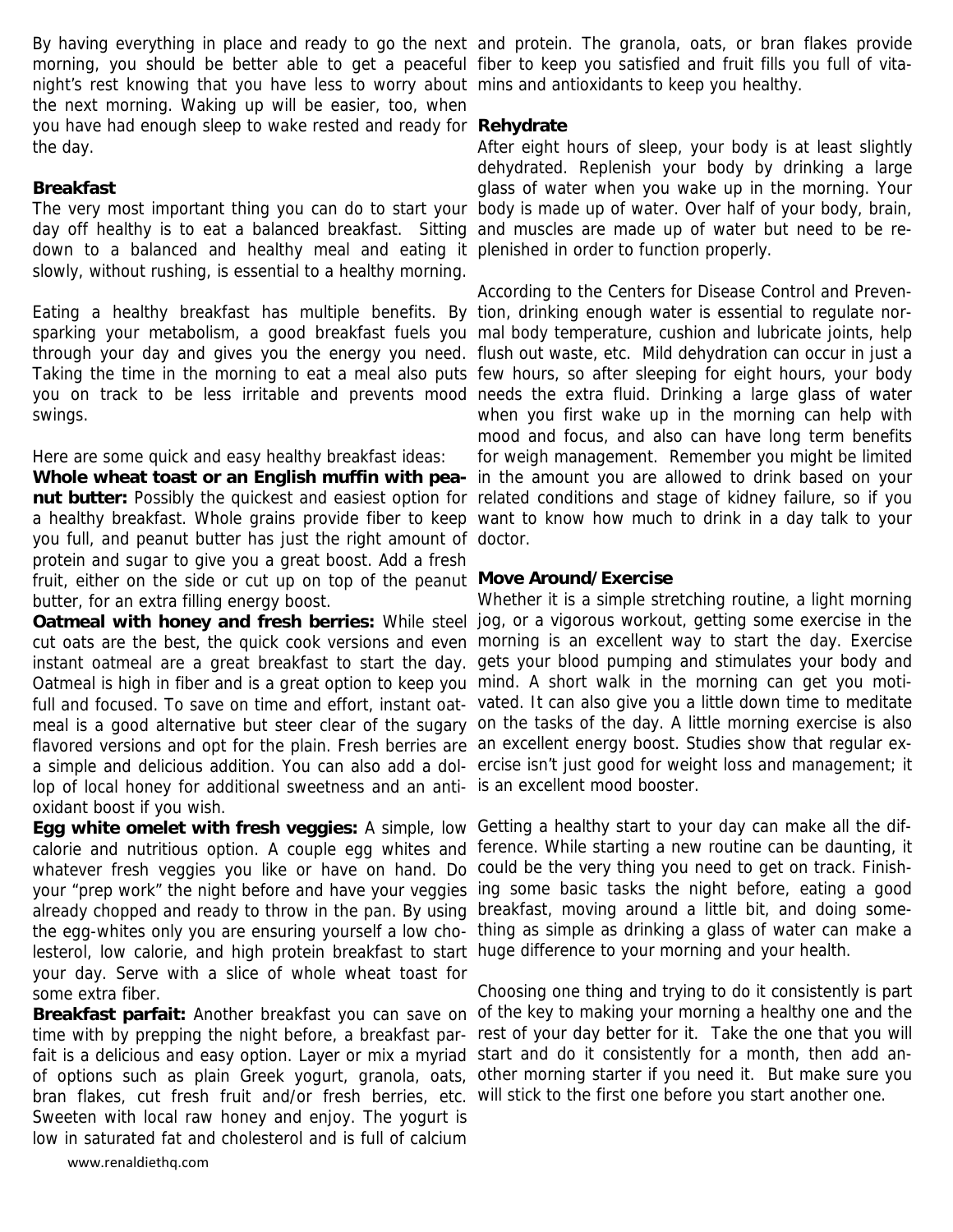morning, you should be better able to get a peaceful fiber to keep you satisfied and fruit fills you full of vitanight's rest knowing that you have less to worry about mins and antioxidants to keep you healthy. the next morning. Waking up will be easier, too, when you have had enough sleep to wake rested and ready for **Rehydrate** the day.

### **Breakfast**

day off healthy is to eat a balanced breakfast. Sitting and muscles are made up of water but need to be redown to a balanced and healthy meal and eating it plenished in order to function properly. slowly, without rushing, is essential to a healthy morning.

Eating a healthy breakfast has multiple benefits. By tion, drinking enough water is essential to regulate norswings.

Here are some quick and easy healthy breakfast ideas:

you full, and peanut butter has just the right amount of doctor. protein and sugar to give you a great boost. Add a fresh fruit, either on the side or cut up on top of the peanut **Move Around/Exercise** butter, for an extra filling energy boost.

Oatmeal is high in fiber and is a great option to keep you mind. A short walk in the morning can get you motiflavored versions and opt for the plain. Fresh berries are an excellent energy boost. Studies show that regular exlop of local honey for additional sweetness and an anti-is an excellent mood booster. oxidant boost if you wish.

whatever fresh veggies you like or have on hand. Do could be the very thing you need to get on track. Finishalready chopped and ready to throw in the pan. By using breakfast, moving around a little bit, and doing somelesterol, low calorie, and high protein breakfast to start huge difference to your morning and your health. your day. Serve with a slice of whole wheat toast for some extra fiber.

fait is a delicious and easy option. Layer or mix a myriad start and do it consistently for a month, then add anbran flakes, cut fresh fruit and/or fresh berries, etc. will stick to the first one before you start another one.Sweeten with local raw honey and enjoy. The yogurt is low in saturated fat and cholesterol and is full of calcium

By having everything in place and ready to go the next and protein. The granola, oats, or bran flakes provide

The very most important thing you can do to start your body is made up of water. Over half of your body, brain, After eight hours of sleep, your body is at least slightly dehydrated. Replenish your body by drinking a large glass of water when you wake up in the morning. Your

sparking your metabolism, a good breakfast fuels you mal body temperature, cushion and lubricate joints, help through your day and gives you the energy you need. flush out waste, etc. Mild dehydration can occur in just a Taking the time in the morning to eat a meal also puts few hours, so after sleeping for eight hours, your body you on track to be less irritable and prevents mood needs the extra fluid. Drinking a large glass of water **Whole wheat toast or an English muffin with pea-**in the amount you are allowed to drink based on your **nut butter:** Possibly the quickest and easiest option for related conditions and stage of kidney failure, so if you a healthy breakfast. Whole grains provide fiber to keep want to know how much to drink in a day talk to your According to the Centers for Disease Control and Prevenwhen you first wake up in the morning can help with mood and focus, and also can have long term benefits for weigh management. Remember you might be limited

**Oatmeal with honey and fresh berries:** While steel jog, or a vigorous workout, getting some exercise in the cut oats are the best, the quick cook versions and even morning is an excellent way to start the day. Exercise instant oatmeal are a great breakfast to start the day. gets your blood pumping and stimulates your body and full and focused. To save on time and effort, instant oat- vated. It can also give you a little down time to meditate meal is a good alternative but steer clear of the sugary on the tasks of the day. A little morning exercise is also a simple and delicious addition. You can also add a dol-ercise isn't just good for weight loss and management; it Whether it is a simple stretching routine, a light morning

**Egg white omelet with fresh veggies:** A simple, low Getting a healthy start to your day can make all the difcalorie and nutritious option. A couple egg whites and ference. While starting a new routine can be daunting, it your "prep work" the night before and have your veggies ing some basic tasks the night before, eating a good the egg-whites only you are ensuring yourself a low cho- thing as simple as drinking a glass of water can make a

Breakfast parfait: Another breakfast you can save on of the key to making your morning a healthy one and the time with by prepping the night before, a breakfast par- rest of your day better for it. Take the one that you will of options such as plain Greek yogurt, granola, oats, other morning starter if you need it. But make sure you Choosing one thing and trying to do it consistently is part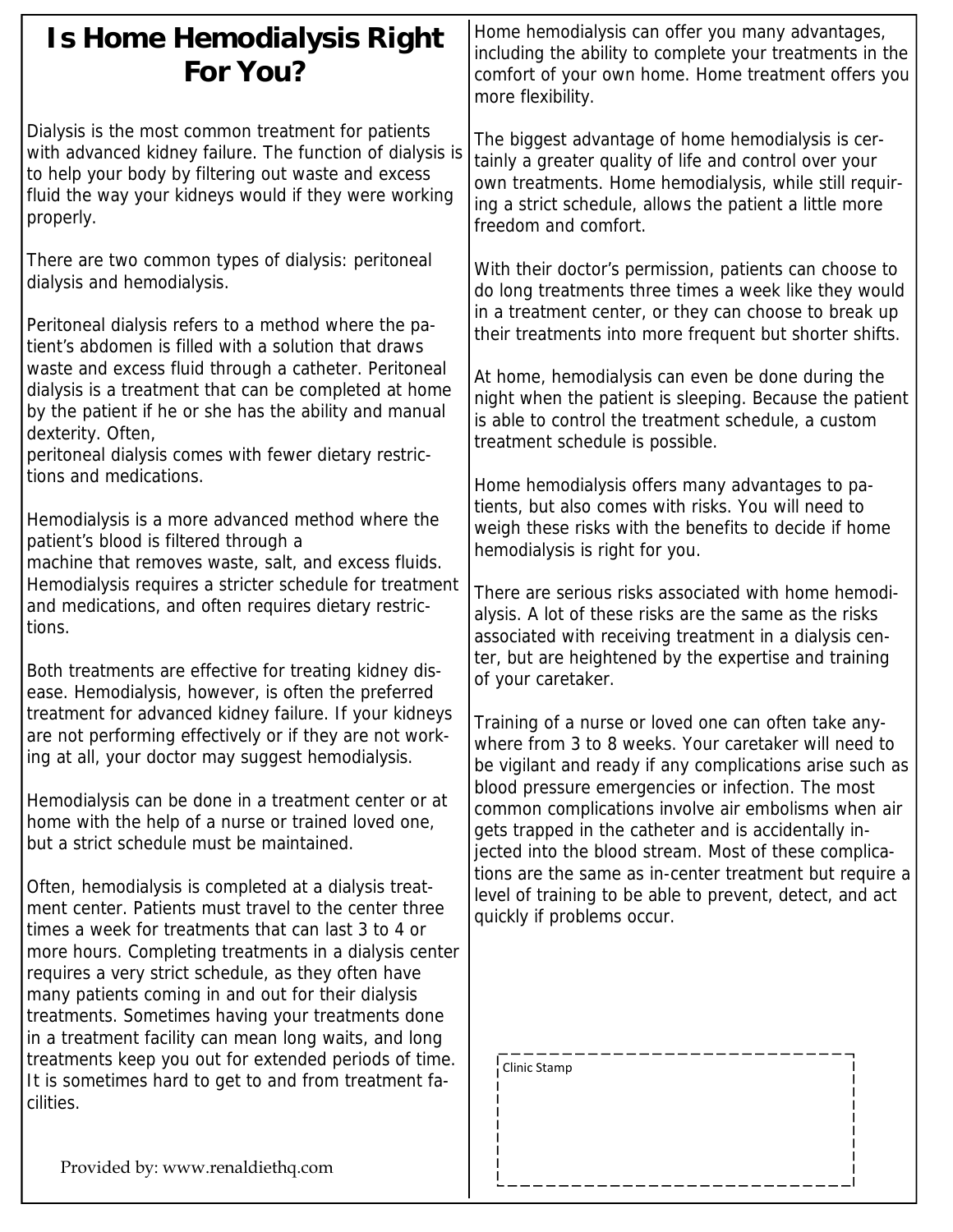| Is Home Hemodialysis Right<br>For You?                                                                                                                                                                                                                                                                                                                                                                                                                                                                                                                                                                                                                                                                                                                                                           | Home hemodialysis can offer you many advantages,<br>including the ability to complete your treatments in the<br>comfort of your own home. Home treatment offers you<br>more flexibility.                                                                                                                                                                                                                                                                                                                                                                                                                                                                                                                                                                                                                                                                                                                                                                                                                                                                                                                                                                                                                                                                                                                                                                                                                                                                                    |
|--------------------------------------------------------------------------------------------------------------------------------------------------------------------------------------------------------------------------------------------------------------------------------------------------------------------------------------------------------------------------------------------------------------------------------------------------------------------------------------------------------------------------------------------------------------------------------------------------------------------------------------------------------------------------------------------------------------------------------------------------------------------------------------------------|-----------------------------------------------------------------------------------------------------------------------------------------------------------------------------------------------------------------------------------------------------------------------------------------------------------------------------------------------------------------------------------------------------------------------------------------------------------------------------------------------------------------------------------------------------------------------------------------------------------------------------------------------------------------------------------------------------------------------------------------------------------------------------------------------------------------------------------------------------------------------------------------------------------------------------------------------------------------------------------------------------------------------------------------------------------------------------------------------------------------------------------------------------------------------------------------------------------------------------------------------------------------------------------------------------------------------------------------------------------------------------------------------------------------------------------------------------------------------------|
| Dialysis is the most common treatment for patients<br>with advanced kidney failure. The function of dialysis is<br>to help your body by filtering out waste and excess<br>fluid the way your kidneys would if they were working<br>properly.                                                                                                                                                                                                                                                                                                                                                                                                                                                                                                                                                     | The biggest advantage of home hemodialysis is cer-<br>tainly a greater quality of life and control over your<br>own treatments. Home hemodialysis, while still requir-<br>ing a strict schedule, allows the patient a little more<br>freedom and comfort.                                                                                                                                                                                                                                                                                                                                                                                                                                                                                                                                                                                                                                                                                                                                                                                                                                                                                                                                                                                                                                                                                                                                                                                                                   |
| There are two common types of dialysis: peritoneal<br>dialysis and hemodialysis.<br>Peritoneal dialysis refers to a method where the pa-<br>tient's abdomen is filled with a solution that draws<br>waste and excess fluid through a catheter. Peritoneal<br>dialysis is a treatment that can be completed at home<br>by the patient if he or she has the ability and manual<br>dexterity. Often,                                                                                                                                                                                                                                                                                                                                                                                                | With their doctor's permission, patients can choose to<br>do long treatments three times a week like they would<br>in a treatment center, or they can choose to break up<br>their treatments into more frequent but shorter shifts.<br>At home, hemodialysis can even be done during the<br>night when the patient is sleeping. Because the patient<br>is able to control the treatment schedule, a custom<br>treatment schedule is possible.<br>Home hemodialysis offers many advantages to pa-<br>tients, but also comes with risks. You will need to<br>weigh these risks with the benefits to decide if home<br>hemodialysis is right for you.<br>There are serious risks associated with home hemodi-<br>alysis. A lot of these risks are the same as the risks<br>associated with receiving treatment in a dialysis cen-<br>ter, but are heightened by the expertise and training<br>of your caretaker.<br>Training of a nurse or loved one can often take any-<br>where from 3 to 8 weeks. Your caretaker will need to<br>be vigilant and ready if any complications arise such as<br>blood pressure emergencies or infection. The most<br>common complications involve air embolisms when air<br>gets trapped in the catheter and is accidentally in-<br>jected into the blood stream. Most of these complica-<br>tions are the same as in-center treatment but require a<br>level of training to be able to prevent, detect, and act<br>quickly if problems occur. |
| peritoneal dialysis comes with fewer dietary restric-<br>tions and medications.<br>Hemodialysis is a more advanced method where the<br>patient's blood is filtered through a<br>machine that removes waste, salt, and excess fluids.<br>Hemodialysis requires a stricter schedule for treatment<br>and medications, and often requires dietary restric-<br>tions.<br>Both treatments are effective for treating kidney dis-<br>ease. Hemodialysis, however, is often the preferred                                                                                                                                                                                                                                                                                                               |                                                                                                                                                                                                                                                                                                                                                                                                                                                                                                                                                                                                                                                                                                                                                                                                                                                                                                                                                                                                                                                                                                                                                                                                                                                                                                                                                                                                                                                                             |
| treatment for advanced kidney failure. If your kidneys<br>are not performing effectively or if they are not work-<br>ing at all, your doctor may suggest hemodialysis.<br>Hemodialysis can be done in a treatment center or at<br>home with the help of a nurse or trained loved one,<br>but a strict schedule must be maintained.<br>Often, hemodialysis is completed at a dialysis treat-<br>ment center. Patients must travel to the center three<br>times a week for treatments that can last 3 to 4 or<br>more hours. Completing treatments in a dialysis center<br>requires a very strict schedule, as they often have<br>many patients coming in and out for their dialysis<br>treatments. Sometimes having your treatments done<br>in a treatment facility can mean long waits, and long |                                                                                                                                                                                                                                                                                                                                                                                                                                                                                                                                                                                                                                                                                                                                                                                                                                                                                                                                                                                                                                                                                                                                                                                                                                                                                                                                                                                                                                                                             |
| treatments keep you out for extended periods of time.<br>It is sometimes hard to get to and from treatment fa-<br>cilities.                                                                                                                                                                                                                                                                                                                                                                                                                                                                                                                                                                                                                                                                      | Clinic Stamp                                                                                                                                                                                                                                                                                                                                                                                                                                                                                                                                                                                                                                                                                                                                                                                                                                                                                                                                                                                                                                                                                                                                                                                                                                                                                                                                                                                                                                                                |

ا ـ

Provided by: www.renaldiethq.com